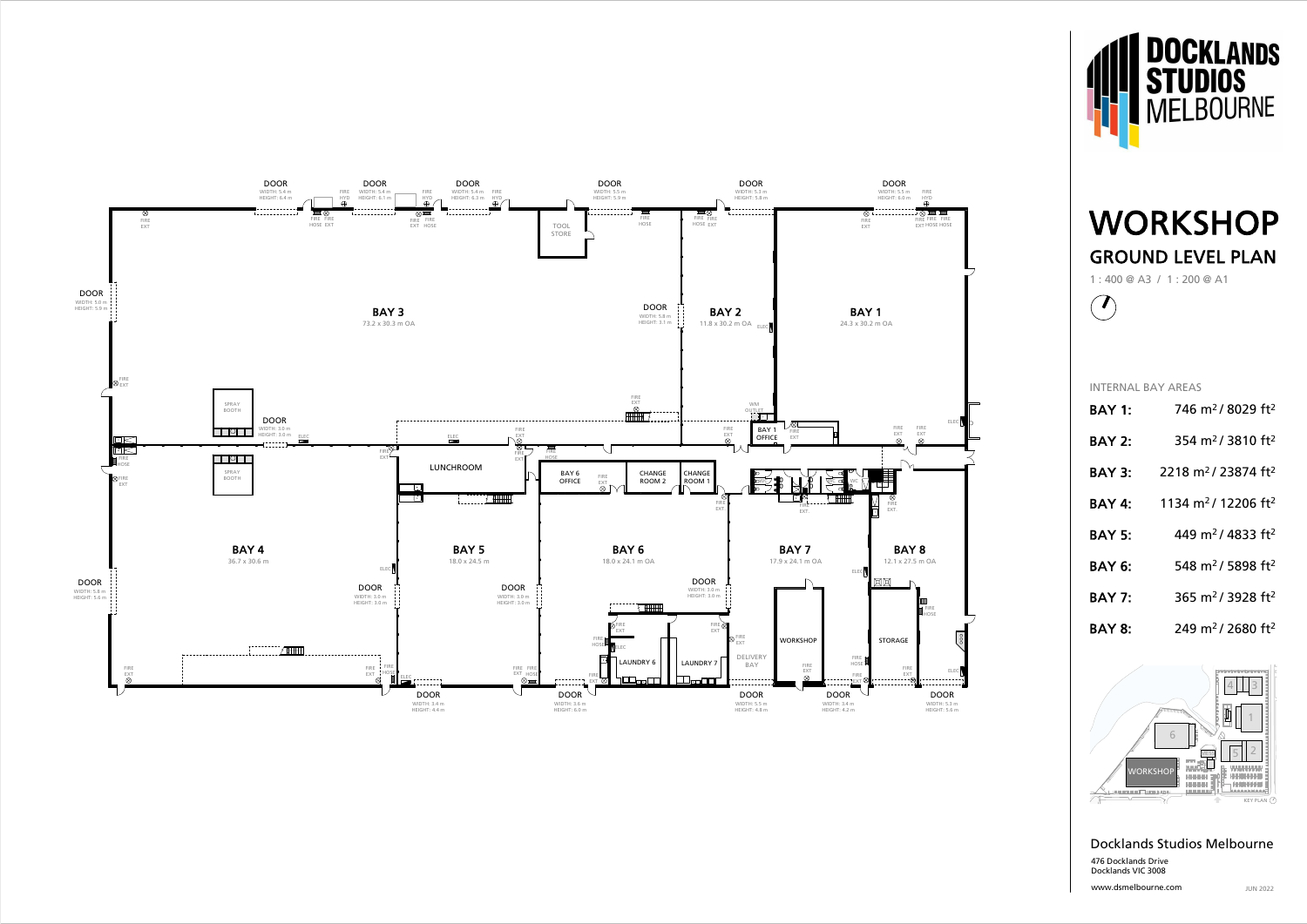





www.dsmelbourne.com

1 : 400 @ A3 / 1 : 200 @ A1



## Docklands Studios Melbourne 476 Docklands Drive Docklands VIC 3008

## WORKSHOP GROUND LEVEL PLAN

INTERNAL BAY AREAS

| <b>BAY 1:</b> | 746 m <sup>2</sup> /8029 ft <sup>2</sup>   |
|---------------|--------------------------------------------|
| <b>BAY 2:</b> | 354 m <sup>2</sup> /3810 ft <sup>2</sup>   |
| <b>BAY 3:</b> | 2218 m <sup>2</sup> /23874 ft <sup>2</sup> |
| <b>BAY 4:</b> | 1134 m <sup>2</sup> /12206 ft <sup>2</sup> |
| <b>BAY 5:</b> | 449 m <sup>2</sup> /4833 ft <sup>2</sup>   |
| <b>BAY 6:</b> | 548 m <sup>2</sup> / 5898 ft <sup>2</sup>  |
| <b>BAY 7:</b> | 365 m <sup>2</sup> / 3928 ft <sup>2</sup>  |
| <b>BAY 8:</b> | 249 m <sup>2</sup> / 2680 ft <sup>2</sup>  |